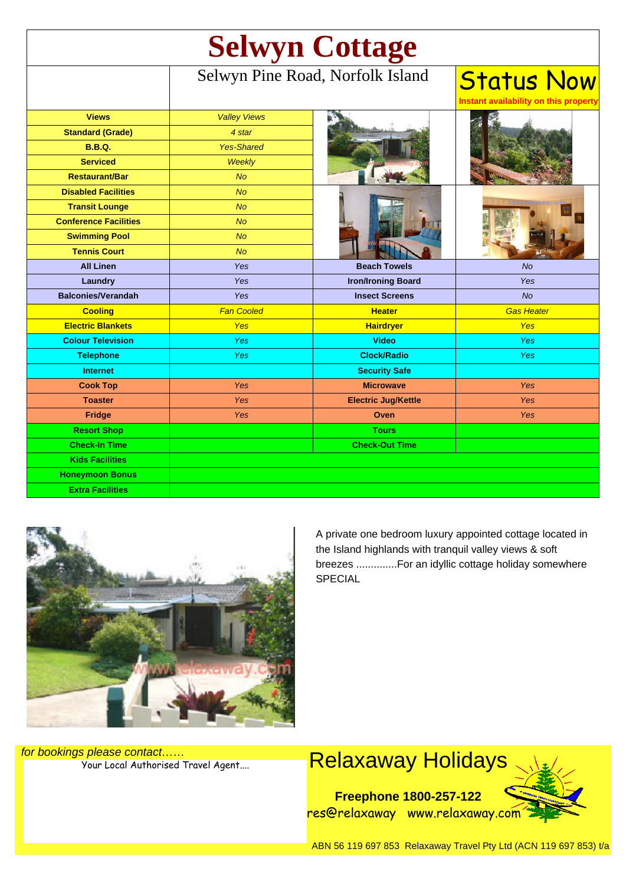| <b>Selwyn Cottage</b>        |                                  |                            |                                                            |
|------------------------------|----------------------------------|----------------------------|------------------------------------------------------------|
|                              | Selwyn Pine Road, Norfolk Island |                            | <b>Status Now</b><br>Instant availability on this property |
| <b>Views</b>                 | <b>Valley Views</b>              |                            |                                                            |
| <b>Standard (Grade)</b>      | 4 star                           |                            |                                                            |
| <b>B.B.Q.</b>                | <b>Yes-Shared</b>                |                            |                                                            |
| <b>Serviced</b>              | Weekly                           |                            |                                                            |
| <b>Restaurant/Bar</b>        | No                               |                            |                                                            |
| <b>Disabled Facilities</b>   | <b>No</b>                        |                            |                                                            |
| <b>Transit Lounge</b>        | <b>No</b>                        |                            |                                                            |
| <b>Conference Facilities</b> | <b>No</b>                        |                            |                                                            |
| <b>Swimming Pool</b>         | <b>No</b>                        |                            |                                                            |
| <b>Tennis Court</b>          | <b>No</b>                        |                            |                                                            |
| <b>All Linen</b>             | Yes                              | <b>Beach Towels</b>        | <b>No</b>                                                  |
| Laundry                      | Yes                              | <b>Iron/Ironing Board</b>  | Yes                                                        |
| <b>Balconies/Verandah</b>    | Yes                              | <b>Insect Screens</b>      | No                                                         |
| <b>Cooling</b>               | <b>Fan Cooled</b>                | <b>Heater</b>              | <b>Gas Heater</b>                                          |
| <b>Electric Blankets</b>     | <b>Yes</b>                       | <b>Hairdryer</b>           | <b>Yes</b>                                                 |
| <b>Colour Television</b>     | <b>Yes</b>                       | <b>Video</b>               | <b>Yes</b>                                                 |
| <b>Telephone</b>             | Yes                              | <b>Clock/Radio</b>         | <b>Yes</b>                                                 |
| <b>Internet</b>              |                                  | <b>Security Safe</b>       |                                                            |
| <b>Cook Top</b>              | Yes                              | <b>Microwave</b>           | <b>Yes</b>                                                 |
| <b>Toaster</b>               | <b>Yes</b>                       | <b>Electric Jug/Kettle</b> | <b>Yes</b>                                                 |
| Fridge                       | Yes                              | Oven                       | <b>Yes</b>                                                 |
| <b>Resort Shop</b>           |                                  | <b>Tours</b>               |                                                            |
| <b>Check-In Time</b>         |                                  | <b>Check-Out Time</b>      |                                                            |
| <b>Kids Facilities</b>       |                                  |                            |                                                            |
| <b>Honeymoon Bonus</b>       |                                  |                            |                                                            |
| <b>Extra Facilities</b>      |                                  |                            |                                                            |



A private one bedroom luxury appointed cottage located in the Island highlands with tranquil valley views & soft breezes ..............For an idyllic cottage holiday somewhere SPECIAL

for bookings please contact……